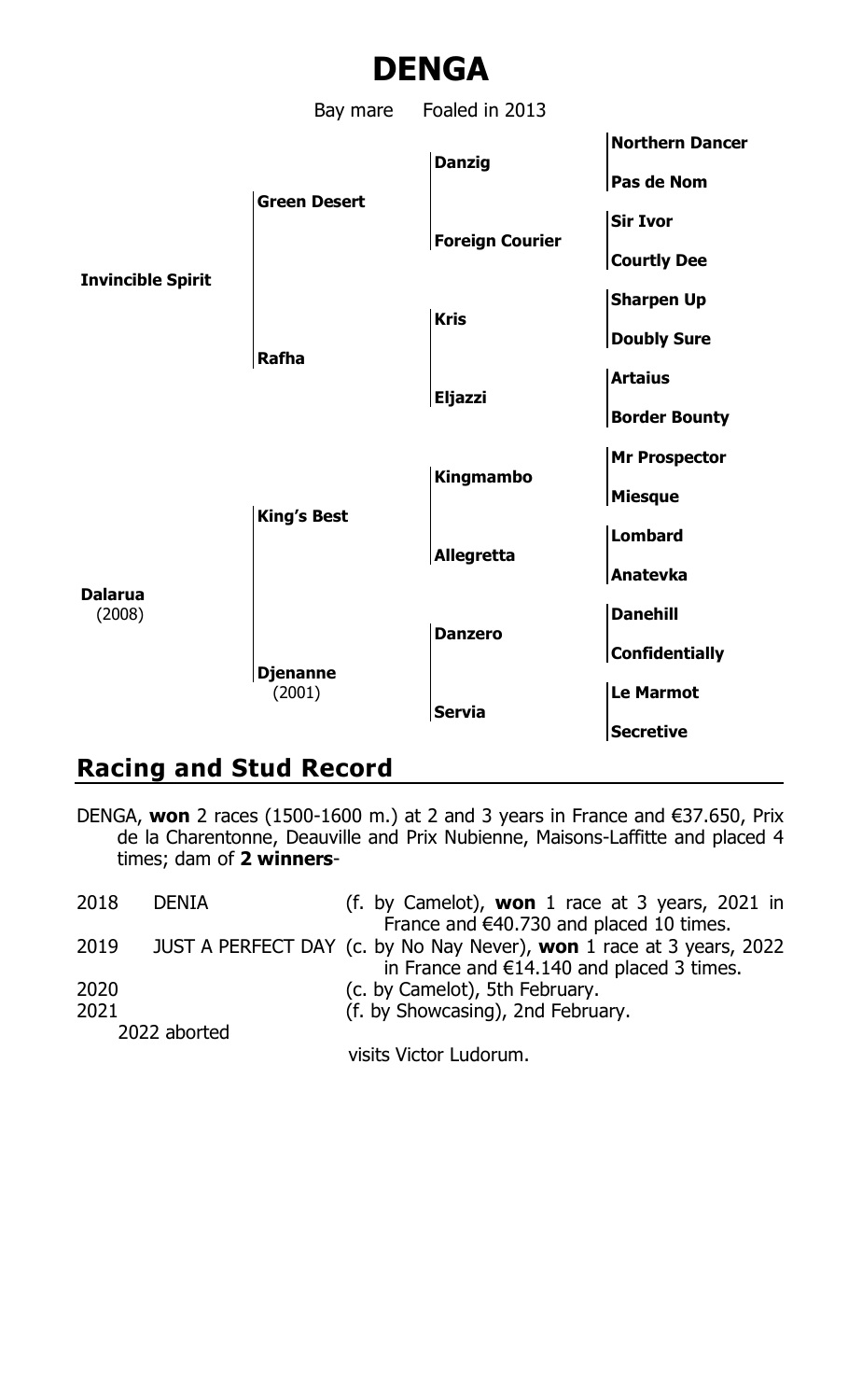

## **Racing and Stud Record**

DENGA, **won** 2 races (1500-1600 m.) at 2 and 3 years in France and €37.650, Prix de la Charentonne, Deauville and Prix Nubienne, Maisons-Laffitte and placed 4 times; dam of **2 winners**-

| 2018 | <b>DENIA</b> | (f. by Camelot), <b>won</b> 1 race at 3 years, 2021 in               |
|------|--------------|----------------------------------------------------------------------|
|      |              | France and $€40.730$ and placed 10 times.                            |
| 2019 |              | JUST A PERFECT DAY (c. by No Nay Never), won 1 race at 3 years, 2022 |
|      |              | in France and $€14.140$ and placed 3 times.                          |
| 2020 |              | (c. by Camelot), 5th February.                                       |
| 2021 |              | (f. by Showcasing), 2nd February.                                    |
|      | 2022 aborted |                                                                      |
|      |              |                                                                      |

visits Victor Ludorum.